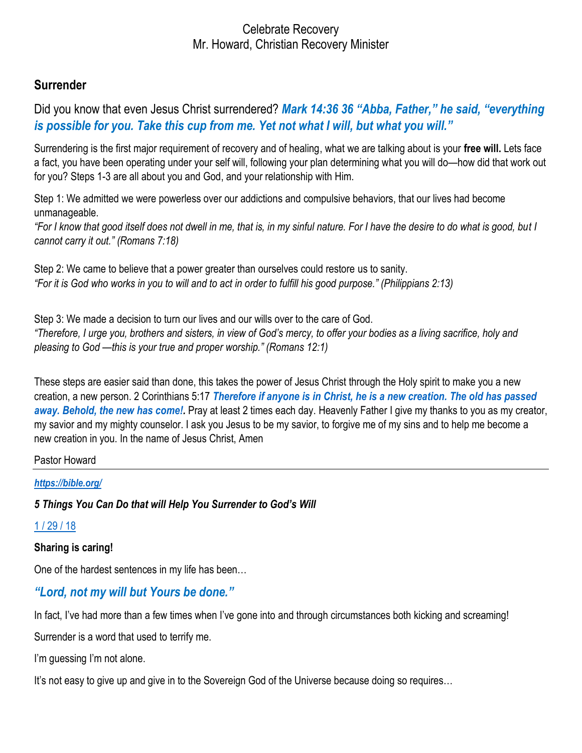## **Surrender**

Did you know that even Jesus Christ surrendered? *Mark 14:36 36 "Abba, Father," he said, "everything is possible for you. Take this cup from me. Yet not what I will, but what you will."*

Surrendering is the first major requirement of recovery and of healing, what we are talking about is your **free will.** Lets face a fact, you have been operating under your self will, following your plan determining what you will do—how did that work out for you? Steps 1-3 are all about you and God, and your relationship with Him.

Step 1: We admitted we were powerless over our addictions and compulsive behaviors, that our lives had become unmanageable.

*"For I know that good itself does not dwell in me, that is, in my sinful nature. For I have the desire to do what is good, but I cannot carry it out." (Romans 7:18)* 

Step 2: We came to believe that a power greater than ourselves could restore us to sanity. *"For it is God who works in you to will and to act in order to fulfill his good purpose." (Philippians 2:13)* 

Step 3: We made a decision to turn our lives and our wills over to the care of God. *"Therefore, I urge you, brothers and sisters, in view of God's mercy, to offer your bodies as a living sacrifice, holy and pleasing to God —this is your true and proper worship." (Romans 12:1)* 

These steps are easier said than done, this takes the power of Jesus Christ through the Holy spirit to make you a new creation, a new person. 2 Corinthians 5:17 *[Therefore](https://biblehub.com/greek/5620.htm) [if](https://biblehub.com/greek/1487.htm) [anyone](https://biblehub.com/greek/5100.htm) [is in](https://biblehub.com/greek/1722.htm) [Christ,](https://biblehub.com/greek/5547.htm) [he is a new](https://biblehub.com/greek/2537.htm) [creation.](https://biblehub.com/greek/2937.htm) [The](https://biblehub.com/greek/3588.htm) [old](https://biblehub.com/greek/744.htm) [has passed](https://biblehub.com/greek/3928.htm)*  [away.](https://biblehub.com/greek/3928.htm) [Behold,](https://biblehub.com/greek/2400.htm) [the new](https://biblehub.com/greek/2537.htm) [has come!.](https://biblehub.com/greek/1096.htm) Pray at least 2 times each day. Heavenly Father I give my thanks to you as my creator, my savior and my mighty counselor. I ask you Jesus to be my savior, to forgive me of my sins and to help me become a new creation in you. In the name of Jesus Christ, Amen

#### Pastor Howard

#### *<https://bible.org/>*

*5 Things You Can Do that will Help You Surrender to God's Will*

#### [1 / 29 / 18](https://countingmyblessings.com/surrender-to-gods-will/)

**Sharing is caring!**

One of the hardest sentences in my life has been…

# *"Lord, not my will but Yours be done."*

In fact, I've had more than a few times when I've gone into and through circumstances both kicking and screaming!

Surrender is a word that used to terrify me.

I'm guessing I'm not alone.

It's not easy to give up and give in to the Sovereign God of the Universe because doing so requires…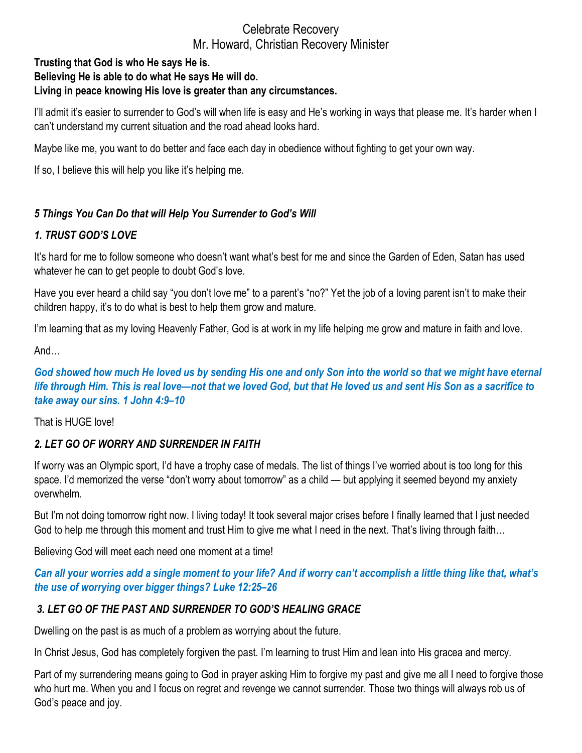#### **Trusting that God is who He says He is. Believing He is able to do what He says He will do. Living in peace knowing His love is greater than any circumstances.**

I'll admit it's easier to surrender to God's will when life is easy and He's working in ways that please me. It's harder when I can't understand my current situation and the road ahead looks hard.

Maybe like me, you want to do better and face each day in obedience without fighting to get your own way.

If so, I believe this will help you like it's helping me.

## *5 Things You Can Do that will Help You Surrender to God's Will*

## *1. TRUST GOD'S LOVE*

It's hard for me to follow someone who doesn't want what's best for me and since the Garden of Eden, Satan has used whatever he can to get people to doubt God's love.

Have you ever heard a child say "you don't love me" to a parent's "no?" Yet the job of a loving parent isn't to make their children happy, it's to do what is best to help them grow and mature.

I'm learning that as my loving Heavenly Father, God is at work in my life helping me grow and mature in faith and love.

And…

*God showed how much He loved us by sending His one and only Son into the world so that we might have eternal life through Him. This is real love—not that we loved God, but that He loved us and sent His Son as a sacrifice to take away our sins. 1 John 4:9–10*

That is HUGE love!

# *2. LET GO OF WORRY AND SURRENDER IN FAITH*

If worry was an Olympic sport, I'd have a trophy case of medals. The list of things I've worried about is too long for this space. I'd memorized the verse "don't worry about tomorrow" as a child — but applying it seemed beyond my anxiety overwhelm.

But I'm not doing tomorrow right now. I living today! It took several major crises before I finally learned that I just needed God to help me through this moment and trust Him to give me what I need in the next. That's living through faith…

Believing God will meet each need one moment at a time!

## *Can all your worries add a single moment to your life? And if worry can't accomplish a little thing like that, what's the use of worrying over bigger things? Luke 12:25–26*

# *3. LET GO OF THE PAST AND SURRENDER TO GOD'S HEALING GRACE*

Dwelling on the past is as much of a problem as worrying about the future.

In Christ Jesus, God has completely forgiven the past. I'm learning to trust Him and lean into His gracea and mercy.

Part of my surrendering means going to God in prayer asking Him to forgive my past and give me all I need to forgive those who hurt me. When you and I focus on regret and revenge we cannot surrender. Those two things will always rob us of God's peace and joy.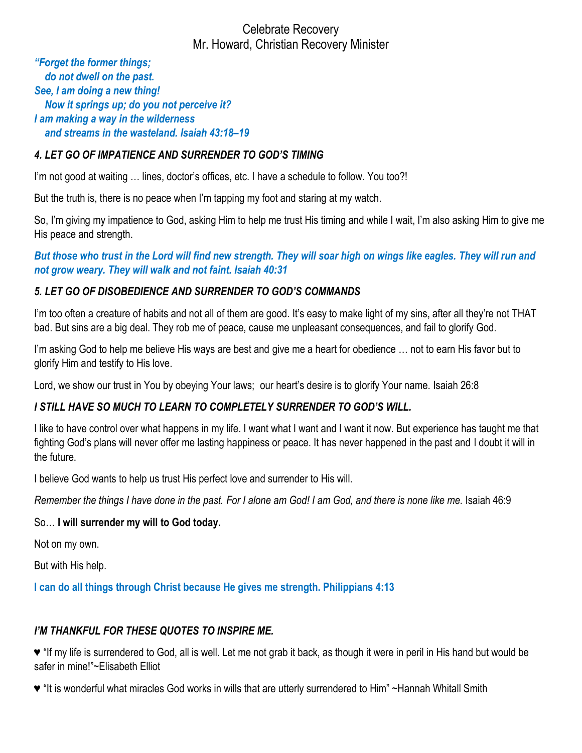*"Forget the former things; do not dwell on the past. See, I am doing a new thing! Now it springs up; do you not perceive it? I am making a way in the wilderness and streams in the wasteland. Isaiah 43:18–19*

## *4. LET GO OF IMPATIENCE AND SURRENDER TO GOD'S TIMING*

I'm not good at waiting … lines, doctor's offices, etc. I have a schedule to follow. You too?!

But the truth is, there is no peace when I'm tapping my foot and staring at my watch.

So, I'm giving my impatience to God, asking Him to help me trust His timing and while I wait, I'm also asking Him to give me His peace and strength.

*But those who trust in the Lord will find new strength. They will soar high on wings like eagles. They will run and not grow weary. They will walk and not faint. Isaiah 40:31*

#### *5. LET GO OF DISOBEDIENCE AND SURRENDER TO GOD'S COMMANDS*

I'm too often a creature of habits and not all of them are good. It's easy to make light of my sins, after all they're not THAT bad. But sins are a big deal. They rob me of peace, cause me unpleasant consequences, and fail to glorify God.

I'm asking God to help me believe His ways are best and give me a heart for obedience … not to earn His favor but to glorify Him and testify to His love.

Lord, we show our trust in You by obeying Your laws; our heart's desire is to glorify Your name. Isaiah 26:8

# *I STILL HAVE SO MUCH TO LEARN TO COMPLETELY SURRENDER TO GOD'S WILL.*

I like to have control over what happens in my life. I want what I want and I want it now. But experience has taught me that fighting God's plans will never offer me lasting happiness or peace. It has never happened in the past and I doubt it will in the future.

I believe God wants to help us trust His perfect love and surrender to His will.

*Remember the things I have done in the past. For I alone am God! I am God, and there is none like me.* Isaiah 46:9

#### So… **I will surrender my will to God today.**

Not on my own.

But with His help.

**I can do all things through Christ because He gives me strength. Philippians 4:13**

# *I'M THANKFUL FOR THESE QUOTES TO INSPIRE ME.*

♥ "If my life is surrendered to God, all is well. Let me not grab it back, as though it were in peril in His hand but would be safer in mine!"~Elisabeth Elliot

♥ "It is wonderful what miracles God works in wills that are utterly surrendered to Him" ~Hannah Whitall Smith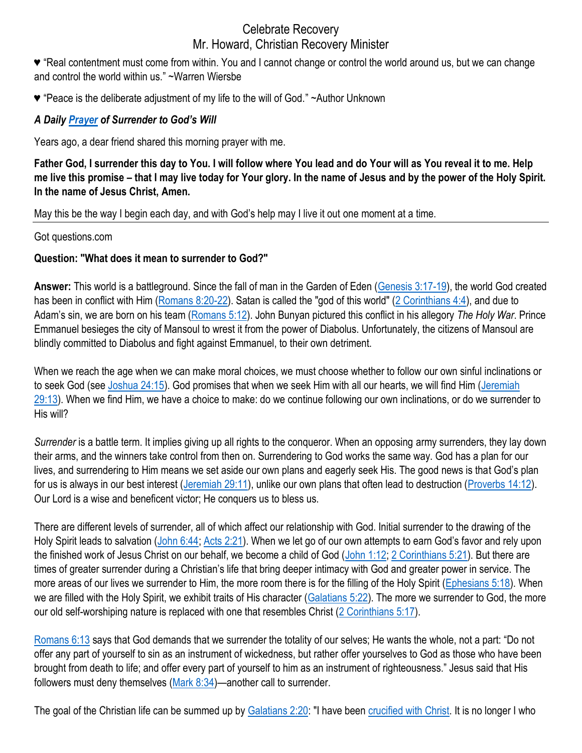# Celebrate Recovery

#### Mr. Howard, Christian Recovery Minister

♥ "Real contentment must come from within. You and I cannot change or control the world around us, but we can change and control the world within us." ~Warren Wiersbe

♥ "Peace is the deliberate adjustment of my life to the will of God." ~Author Unknown

# *A Daily [Prayer](https://countingmyblessings.com/know-gods-will/) of Surrender to God's Will*

Years ago, a dear friend shared this morning prayer with me.

**Father God, I surrender this day to You. I will follow where You lead and do Your will as You reveal it to me. Help me live this promise – that I may live today for Your glory. In the name of Jesus and by the power of the Holy Spirit. In the name of Jesus Christ, Amen.**

May this be the way I begin each day, and with God's help may I live it out one moment at a time.

Got questions.com

#### **Question: "What does it mean to surrender to God?"**

**Answer:** This world is a battleground. Since the fall of man in the Garden of Eden [\(Genesis 3:17-19\)](https://biblia.com/bible/esv/Gen%203.17-19), the world God created has been in conflict with Him [\(Romans 8:20-22\)](https://biblia.com/bible/esv/Rom%208.20-22). Satan is called the "god of this world" [\(2 Corinthians 4:4\)](https://biblia.com/bible/esv/2%20Cor%204.4), and due to Adam's sin, we are born on his team ([Romans 5:12\)](https://biblia.com/bible/esv/Rom%205.12). John Bunyan pictured this conflict in his allegory *The Holy War*. Prince Emmanuel besieges the city of Mansoul to wrest it from the power of Diabolus. Unfortunately, the citizens of Mansoul are blindly committed to Diabolus and fight against Emmanuel, to their own detriment.

When we reach the age when we can make moral choices, we must choose whether to follow our own sinful inclinations or to seek God (see [Joshua 24:15\)](https://biblia.com/bible/esv/Josh%2024.15). God promises that when we seek Him with all our hearts, we will find Him [\(Jeremiah](https://biblia.com/bible/esv/Jer%2029.13)  [29:13\)](https://biblia.com/bible/esv/Jer%2029.13). When we find Him, we have a choice to make: do we continue following our own inclinations, or do we surrender to His will?

*Surrender* is a battle term. It implies giving up all rights to the conqueror. When an opposing army surrenders, they lay down their arms, and the winners take control from then on. Surrendering to God works the same way. God has a plan for our lives, and surrendering to Him means we set aside our own plans and eagerly seek His. The good news is that God's plan for us is always in our best interest [\(Jeremiah 29:11\)](https://biblia.com/bible/esv/Jer%2029.11), unlike our own plans that often lead to destruction [\(Proverbs 14:12\)](https://biblia.com/bible/esv/Prov%2014.12). Our Lord is a wise and beneficent victor; He conquers us to bless us.

There are different levels of surrender, all of which affect our relationship with God. Initial surrender to the drawing of the Holy Spirit leads to salvation [\(John 6:44;](https://biblia.com/bible/esv/John%206.44) [Acts 2:21](https://biblia.com/bible/esv/Acts%202.21)). When we let go of our own attempts to earn God's favor and rely upon the finished work of Jesus Christ on our behalf, we become a child of God [\(John 1:12;](https://biblia.com/bible/esv/John%201.12) [2 Corinthians 5:21\)](https://biblia.com/bible/esv/2%20Cor%205.21). But there are times of greater surrender during a Christian's life that bring deeper intimacy with God and greater power in service. The more areas of our lives we surrender to Him, the more room there is for the filling of the Holy Spirit [\(Ephesians 5:18\)](https://biblia.com/bible/esv/Eph%205.18). When we are filled with the Holy Spirit, we exhibit traits of His character [\(Galatians 5:22\)](https://biblia.com/bible/esv/Gal%205.22). The more we surrender to God, the more our old self-worshiping nature is replaced with one that resembles Christ [\(2 Corinthians 5:17\)](https://biblia.com/bible/esv/2%20Cor%205.17).

[Romans 6:13](https://biblia.com/bible/esv/Rom%206.13) says that God demands that we surrender the totality of our selves; He wants the whole, not a part: "Do not offer any part of yourself to sin as an instrument of wickedness, but rather offer yourselves to God as those who have been brought from death to life; and offer every part of yourself to him as an instrument of righteousness." Jesus said that His followers must deny themselves [\(Mark 8:34\)](https://biblia.com/bible/esv/Mark%208.34)—another call to surrender.

The goal of the Christian life can be summed up by [Galatians 2:20:](https://biblia.com/bible/esv/Gal%202.20) "I have been [crucified with Christ.](https://www.gotquestions.org/crucified-with-Christ.html) It is no longer I who